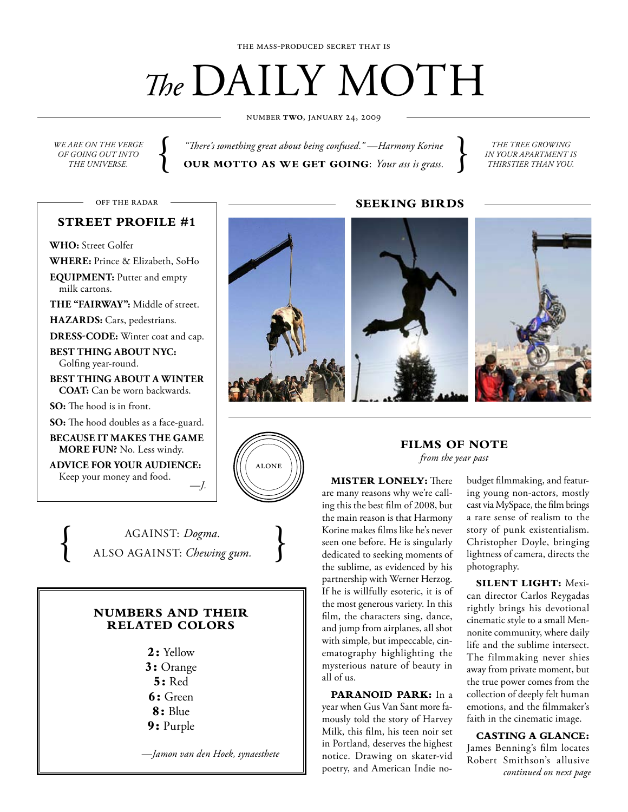# *The* DAILY MOTH

number **two**, january 24, 2009

*we are on the verge of going out into*

*ARE ON THE VERGE*  $\left\{\begin{array}{c} \text{``There's something great about being confused."}\ \text{``Harmony Korine  
GONNG OUT INTO}\ \text{$\textbf{OUT} \textbf{NOT} \textbf{TO} \textbf{AS} \textbf{WE} \textbf{GET} \textbf{GOING}: \textit{Your ass is grass.}\ \end{array}\right\}$ *"There's something great about being confused." —Harmony Korine*

*the tree growing in your apartment is thirstier than you.*

off the radar

# **street profile #1**

**Who:** Street Golfer

**Where:** Prince & Elizabeth, SoHo

**Equipment:** Putter and empty milk cartons.

THE "FAIRWAY": Middle of street.

**HAZARDS:** Cars, pedestrians.

DRESS-CODE: Winter coat and cap. **Best thing about nyc:**

Golfing year-round.

**Best thing about a winter COAT:** Can be worn backwards.

**So:** The hood is in front.

**So:** The hood doubles as a face-guard.

**Because it makes the game more fun?** No. Less windy.

**Advice for your audience:** Keep your money and food. *—J.*



{  $AGAINST: Dogma.$ <br>ALSO AGAINST: *Chewing gum.* 

# **NUMBERS AND THEIR RELATED COLORS**

**2:** Yellow **3:** Orange **5:** Red **6:** Green **8:** Blue **9:** Purple

*—Jamon van den Hoek, synaesthete* 

**Seeking Birds**





## **Films of Note** *from the year past*

### **Mister Lonely:** There

are many reasons why we're calling this the best film of 2008, but the main reason is that Harmony Korine makes films like he's never seen one before. He is singularly dedicated to seeking moments of the sublime, as evidenced by his partnership with Werner Herzog. If he is willfully esoteric, it is of the most generous variety. In this film, the characters sing, dance, and jump from airplanes, all shot with simple, but impeccable, cinematography highlighting the mysterious nature of beauty in all of us.

**Paranoid Park:** In a year when Gus Van Sant more famously told the story of Harvey Milk, this film, his teen noir set in Portland, deserves the highest notice. Drawing on skater-vid poetry, and American Indie nobudget filmmaking, and featuring young non-actors, mostly cast via MySpace, the film brings a rare sense of realism to the story of punk existentialism. Christopher Doyle, bringing lightness of camera, directs the photography.

**Silent Light:** Mexican director Carlos Reygadas rightly brings his devotional cinematic style to a small Mennonite community, where daily life and the sublime intersect. The filmmaking never shies away from private moment, but the true power comes from the collection of deeply felt human emotions, and the filmmaker's faith in the cinematic image.

**Casting a Glance:** James Benning's film locates Robert Smithson's allusive *continued on next page*